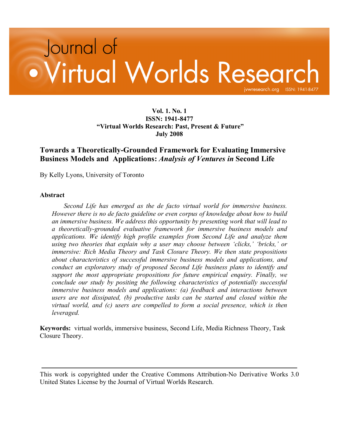# Journal of • Virtual Worlds Research.org ISSN: 1941 jvwresearch.org ISSN: 1941-8477

### **Vol. 1. No. 1 ISSN: 1941-8477 "Virtual Worlds Research: Past, Present & Future" July 2008**

## **Towards a Theoretically-Grounded Framework for Evaluating Immersive Business Models and Applications:** *Analysis of Ventures in* **Second Life**

By Kelly Lyons, University of Toronto

#### **Abstract**

*Second Life has emerged as the de facto virtual world for immersive business. However there is no de facto guideline or even corpus of knowledge about how to build an immersive business. We address this opportunity by presenting work that will lead to a theoretically-grounded evaluative framework for immersive business models and applications. We identify high profile examples from Second Life and analyze them using two theories that explain why a user may choose between 'clicks,' 'bricks,' or immersive: Rich Media Theory and Task Closure Theory. We then state propositions about characteristics of successful immersive business models and applications, and conduct an exploratory study of proposed Second Life business plans to identify and support the most appropriate propositions for future empirical enquiry. Finally, we conclude our study by positing the following characteristics of potentially successful immersive business models and applications: (a) feedback and interactions between users are not dissipated, (b) productive tasks can be started and closed within the virtual world, and (c) users are compelled to form a social presence, which is then leveraged.*

**Keywords:** virtual worlds, immersive business, Second Life, Media Richness Theory, Task Closure Theory.

This work is copyrighted under the Creative Commons Attribution-No Derivative Works 3.0 United States License by the Journal of Virtual Worlds Research.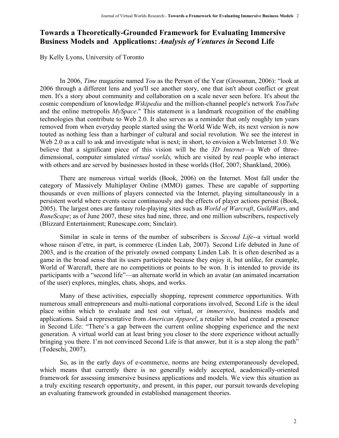# **Towards a Theoretically-Grounded Framework for Evaluating Immersive Business Models and Applications:** *Analysis of Ventures in* **Second Life**

By Kelly Lyons, University of Toronto

In 2006, *Time* magazine named *You* as the Person of the Year (Grossman, 2006): "look at 2006 through a different lens and you'll see another story, one that isn't about conflict or great men. It's a story about community and collaboration on a scale never seen before. It's about the cosmic compendium of knowledge *Wikipedia* and the million-channel people's network *YouTube* and the online metropolis *MySpace*." This statement is a landmark recognition of the enabling technologies that contribute to Web 2.0. It also serves as a reminder that only roughly ten years removed from when everyday people started using the World Wide Web, its next version is now touted as nothing less than a harbinger of cultural and social revolution. We see the interest in Web 2.0 as a call to ask and investigate what is next; in short, to envision a Web/Internet 3.0. We believe that a significant piece of this vision will be the *3D Internet*—a Web of threedimensional, computer simulated *virtual worlds,* which are visited by real people who interact with others and are served by businesses hosted in these worlds (Hof, 2007; Shankland, 2006).

There are numerous virtual worlds (Book, 2006) on the Internet. Most fall under the category of Massively Multiplayer Online (MMO) games. These are capable of supporting thousands or even millions of players connected via the Internet, playing simultaneously in a persistent world where events occur continuously and the effects of player actions persist (Book, 2005). The largest ones are fantasy role-playing sites such as *World of Warcraft*, *GuildWars*, and *RuneScape*; as of June 2007, these sites had nine, three, and one million subscribers, respectively (Blizzard Entertainment; Runescape.com; Sinclair).

Similar in scale in terms of the number of subscribers is *Second Life*--a virtual world whose raison d'etre, in part, is commerce (Linden Lab, 2007). Second Life debuted in June of 2003, and is the creation of the privately owned company Linden Lab. It is often described as a game in the broad sense that its users participate because they enjoy it, but unlike, for example, World of Warcraft, there are no competitions or points to be won. It is intended to provide its participants with a "second life"—an alternate world in which an avatar (an animated incarnation of the user) explores, mingles, chats, shops, and works.

Many of these activities, especially shopping, represent commerce opportunities. With numerous small entrepreneurs and multi-national corporations involved, Second Life is the ideal place within which to evaluate and test out virtual, or *immersive*, business models and applications. Said a representative from *American Apparel*, a retailer who had created a presence in Second Life: "There's a gap between the current online shopping experience and the next generation. A virtual world can at least bring you closer to the store experience without actually bringing you there. I'm not convinced Second Life is that answer, but it is a step along the path" (Tedeschi, 2007).

So, as in the early days of e-commerce, norms are being extemporaneously developed, which means that currently there is no generally widely accepted, academically-oriented framework for assessing immersive business applications and models. We view this situation as a truly exciting research opportunity, and present, in this paper, our pursuit towards developing an evaluating framework grounded in established management theories.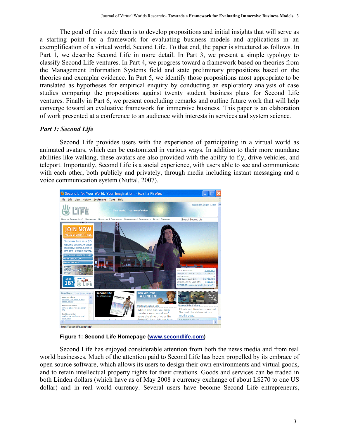The goal of this study then is to develop propositions and initial insights that will serve as a starting point for a framework for evaluating business models and applications in an exemplification of a virtual world, Second Life. To that end, the paper is structured as follows. In Part 1, we describe Second Life in more detail. In Part 3, we present a simple typology to classify Second Life ventures. In Part 4, we progress toward a framework based on theories from the Management Information Systems field and state preliminary propositions based on the theories and exemplar evidence. In Part 5, we identify those propositions most appropriate to be translated as hypotheses for empirical enquiry by conducting an exploratory analysis of case studies comparing the propositions against twenty student business plans for Second Life ventures. Finally in Part 6, we present concluding remarks and outline future work that will help converge toward an evaluative framework for immersive business. This paper is an elaboration of work presented at a conference to an audience with interests in services and system science.

## *Part 1: Second Life*

Second Life provides users with the experience of participating in a virtual world as animated avatars, which can be customized in various ways. In addition to their more mundane abilities like walking, these avatars are also provided with the ability to fly, drive vehicles, and teleport. Importantly, Second Life is a social experience, with users able to see and communicate with each other, both publicly and privately, through media including instant messaging and a voice communication system (Nuttal, 2007).



**Figure 1: Second Life Homepage (www.secondlife.com)**

Second Life has enjoyed considerable attention from both the news media and from real world businesses. Much of the attention paid to Second Life has been propelled by its embrace of open source software, which allows its users to design their own environments and virtual goods, and to retain intellectual property rights for their creations. Goods and services can be traded in both Linden dollars (which have as of May 2008 a currency exchange of about L\$270 to one US dollar) and in real world currency. Several users have become Second Life entrepreneurs,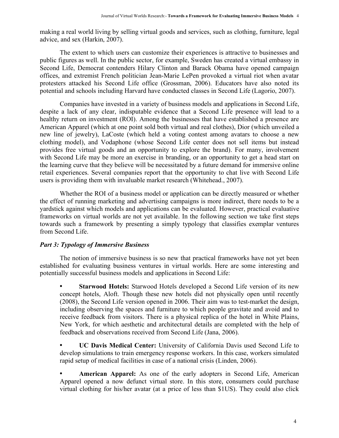making a real world living by selling virtual goods and services, such as clothing, furniture, legal advice, and sex (Harkin, 2007).

The extent to which users can customize their experiences is attractive to businesses and public figures as well. In the public sector, for example, Sweden has created a virtual embassy in Second Life, Democrat contenders Hilary Clinton and Barack Obama have opened campaign offices, and extremist French politician Jean-Marie LePen provoked a virtual riot when avatar protesters attacked his Second Life office (Grossman, 2006). Educators have also noted its potential and schools including Harvard have conducted classes in Second Life (Lagorio, 2007).

Companies have invested in a variety of business models and applications in Second Life, despite a lack of any clear, indisputable evidence that a Second Life presence will lead to a healthy return on investment (ROI). Among the businesses that have established a presence are American Apparel (which at one point sold both virtual and real clothes), Dior (which unveiled a new line of jewelry), LaCoste (which held a voting contest among avatars to choose a new clothing model), and Vodaphone (whose Second Life center does not sell items but instead provides free virtual goods and an opportunity to explore the brand). For many, involvement with Second Life may be more an exercise in branding, or an opportunity to get a head start on the learning curve that they believe will be necessitated by a future demand for immersive online retail experiences. Several companies report that the opportunity to chat live with Second Life users is providing them with invaluable market research (Whitehead., 2007).

Whether the ROI of a business model or application can be directly measured or whether the effect of running marketing and advertising campaigns is more indirect, there needs to be a yardstick against which models and applications can be evaluated. However, practical evaluative frameworks on virtual worlds are not yet available. In the following section we take first steps towards such a framework by presenting a simply typology that classifies exemplar ventures from Second Life.

## *Part 3: Typology of Immersive Business*

The notion of immersive business is so new that practical frameworks have not yet been established for evaluating business ventures in virtual worlds. Here are some interesting and potentially successful business models and applications in Second Life:

• **Starwood Hotels:** Starwood Hotels developed a Second Life version of its new concept hotels, Aloft. Though these new hotels did not physically open until recently (2008), the Second Life version opened in 2006. Their aim was to test-market the design, including observing the spaces and furniture to which people gravitate and avoid and to receive feedback from visitors. There is a physical replica of the hotel in White Plains, New York, for which aesthetic and architectural details are completed with the help of feedback and observations received from Second Life (Jana, 2006).

• **UC Davis Medical Center:** University of California Davis used Second Life to develop simulations to train emergency response workers. In this case, workers simulated rapid setup of medical facilities in case of a national crisis (Linden, 2006).

• **American Apparel:** As one of the early adopters in Second Life, American Apparel opened a now defunct virtual store. In this store, consumers could purchase virtual clothing for his/her avatar (at a price of less than \$1US). They could also click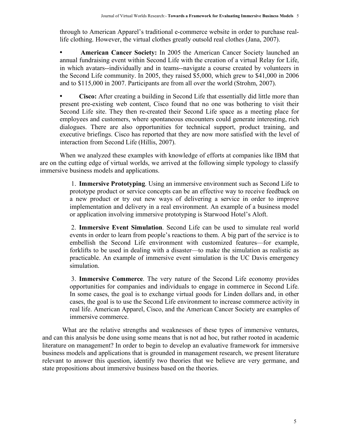through to American Apparel's traditional e-commerce website in order to purchase reallife clothing. However, the virtual clothes greatly outsold real clothes (Jana, 2007).

• **American Cancer Society:** In 2005 the American Cancer Society launched an annual fundraising event within Second Life with the creation of a virtual Relay for Life, in which avatars--individually and in teams--navigate a course created by volunteers in the Second Life community. In 2005, they raised \$5,000, which grew to \$41,000 in 2006 and to \$115,000 in 2007. Participants are from all over the world (Strohm, 2007).

• **Cisco:** After creating a building in Second Life that essentially did little more than present pre-existing web content, Cisco found that no one was bothering to visit their Second Life site. They then re-created their Second Life space as a meeting place for employees and customers, where spontaneous encounters could generate interesting, rich dialogues. There are also opportunities for technical support, product training, and executive briefings. Cisco has reported that they are now more satisfied with the level of interaction from Second Life (Hillis, 2007).

When we analyzed these examples with knowledge of efforts at companies like IBM that are on the cutting edge of virtual worlds, we arrived at the following simple typology to classify immersive business models and applications.

> 1. **Immersive Prototyping**. Using an immersive environment such as Second Life to prototype product or service concepts can be an effective way to receive feedback on a new product or try out new ways of delivering a service in order to improve implementation and delivery in a real environment. An example of a business model or application involving immersive prototyping is Starwood Hotel's Aloft.

> 2. **Immersive Event Simulation**. Second Life can be used to simulate real world events in order to learn from people's reactions to them. A big part of the service is to embellish the Second Life environment with customized features—for example, forklifts to be used in dealing with a disaster—to make the simulation as realistic as practicable. An example of immersive event simulation is the UC Davis emergency simulation.

> 3. **Immersive Commerce**. The very nature of the Second Life economy provides opportunities for companies and individuals to engage in commerce in Second Life. In some cases, the goal is to exchange virtual goods for Linden dollars and, in other cases, the goal is to use the Second Life environment to increase commerce activity in real life. American Apparel, Cisco, and the American Cancer Society are examples of immersive commerce.

What are the relative strengths and weaknesses of these types of immersive ventures, and can this analysis be done using some means that is not ad hoc, but rather rooted in academic literature on management? In order to begin to develop an evaluative framework for immersive business models and applications that is grounded in management research, we present literature relevant to answer this question, identify two theories that we believe are very germane, and state propositions about immersive business based on the theories.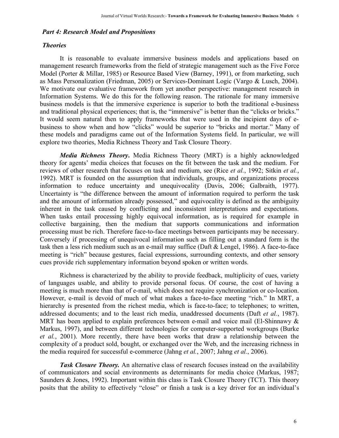#### *Part 4: Research Model and Propositions*

#### *Theories*

It is reasonable to evaluate immersive business models and applications based on management research frameworks from the field of strategic management such as the Five Force Model (Porter & Millar, 1985) or Resource Based View (Barney, 1991), or from marketing, such as Mass Personalization (Friedman, 2005) or Services-Dominant Logic (Vargo & Lusch, 2004). We motivate our evaluative framework from yet another perspective: management research in Information Systems. We do this for the following reason. The rationale for many immersive business models is that the immersive experience is superior to both the traditional e-business and traditional physical experiences; that is, the "immersive" is better than the "clicks or bricks." It would seem natural then to apply frameworks that were used in the incipient days of ebusiness to show when and how "clicks" would be superior to "bricks and mortar." Many of these models and paradigms came out of the Information Systems field. In particular, we will explore two theories, Media Richness Theory and Task Closure Theory.

*Media Richness Theory***.** Media Richness Theory (MRT) is a highly acknowledged theory for agents' media choices that focuses on the fit between the task and the medium. For reviews of other research that focuses on task and medium, see (Rice *et al.*, 1992; Sitkin *et al.*, 1992). MRT is founded on the assumption that individuals, groups, and organizations process information to reduce uncertainty and unequivocality (Davis, 2006; Galbraith, 1977). Uncertainty is "the difference between the amount of information required to perform the task and the amount of information already possessed," and equivocality is defined as the ambiguity inherent in the task caused by conflicting and inconsistent interpretations and expectations. When tasks entail processing highly equivocal information, as is required for example in collective bargaining, then the medium that supports communications and information processing must be rich. Therefore face-to-face meetings between participants may be necessary. Conversely if processing of unequivocal information such as filling out a standard form is the task then a less rich medium such as an e-mail may suffice (Daft & Lengel, 1986). A face-to-face meeting is "rich" because gestures, facial expressions, surrounding contexts, and other sensory cues provide rich supplementary information beyond spoken or written words.

Richness is characterized by the ability to provide feedback, multiplicity of cues, variety of languages usable, and ability to provide personal focus. Of course, the cost of having a meeting is much more than that of e-mail, which does not require synchronization or co-location. However, e-mail is devoid of much of what makes a face-to-face meeting "rich." In MRT, a hierarchy is presented from the richest media, which is face-to-face; to telephones; to written, addressed documents; and to the least rich media, unaddressed documents (Daft *et al.*, 1987). MRT has been applied to explain preferences between e-mail and voice mail (El-Shinnawy  $\&$ Markus, 1997), and between different technologies for computer-supported workgroups (Burke *et al.*, 2001). More recently, there have been works that draw a relationship between the complexity of a product sold, bought, or exchanged over the Web, and the increasing richness in the media required for successful e-commerce (Jahng *et al.*, 2007; Jahng *et al.*, 2006).

**Task Closure Theory.** An alternative class of research focuses instead on the availability of communicators and social environments as determinants for media choice (Markus, 1987; Saunders & Jones, 1992). Important within this class is Task Closure Theory (TCT). This theory posits that the ability to effectively "close" or finish a task is a key driver for an individual's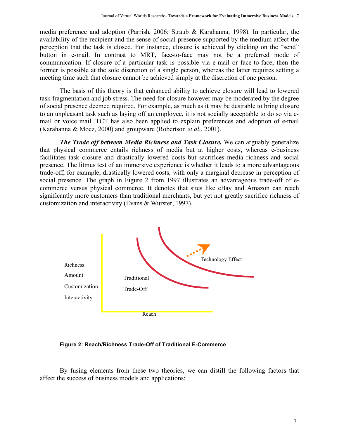media preference and adoption (Parrish, 2006; Straub & Karahanna, 1998). In particular, the availability of the recipient and the sense of social presence supported by the medium affect the perception that the task is closed. For instance, closure is achieved by clicking on the "send" button in e-mail. In contrast to MRT, face-to-face may not be a preferred mode of communication. If closure of a particular task is possible via e-mail or face-to-face, then the former is possible at the sole discretion of a single person, whereas the latter requires setting a meeting time such that closure cannot be achieved simply at the discretion of one person.

The basis of this theory is that enhanced ability to achieve closure will lead to lowered task fragmentation and job stress. The need for closure however may be moderated by the degree of social presence deemed required. For example, as much as it may be desirable to bring closure to an unpleasant task such as laying off an employee, it is not socially acceptable to do so via email or voice mail. TCT has also been applied to explain preferences and adoption of e-mail (Karahanna & Moez, 2000) and groupware (Robertson *et al.*, 2001).

*The Trade off between Media Richness and Task Closure.* We can arguably generalize that physical commerce entails richness of media but at higher costs, whereas e-business facilitates task closure and drastically lowered costs but sacrifices media richness and social presence. The litmus test of an immersive experience is whether it leads to a more advantageous trade-off, for example, drastically lowered costs, with only a marginal decrease in perception of social presence. The graph in Figure 2 from 1997 illustrates an advantageous trade-off of ecommerce versus physical commerce. It denotes that sites like eBay and Amazon can reach significantly more customers than traditional merchants, but yet not greatly sacrifice richness of customization and interactivity (Evans & Wurster, 1997).



**Figure 2: Reach/Richness Trade-Off of Traditional E-Commerce**

By fusing elements from these two theories, we can distill the following factors that affect the success of business models and applications: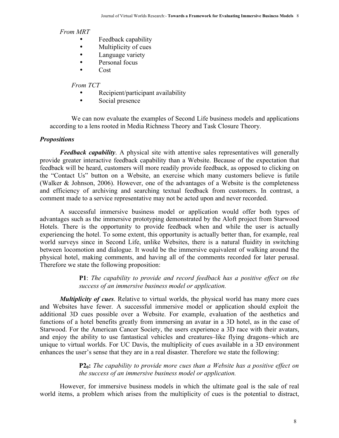#### *From MRT*

- Feedback capability<br>• Multiplicity of cues
- Multiplicity of cues<br>• I anguage variety
- Language variety
- Personal focus<br>• Cost
- Cost

#### *From TCT*

- Recipient/participant availability
- Social presence

 We can now evaluate the examples of Second Life business models and applications according to a lens rooted in Media Richness Theory and Task Closure Theory.

#### *Propositions*

*Feedback capability*. A physical site with attentive sales representatives will generally provide greater interactive feedback capability than a Website. Because of the expectation that feedback will be heard, customers will more readily provide feedback, as opposed to clicking on the "Contact Us" button on a Website, an exercise which many customers believe is futile (Walker & Johnson, 2006). However, one of the advantages of a Website is the completeness and efficiency of archiving and searching textual feedback from customers. In contrast, a comment made to a service representative may not be acted upon and never recorded.

A successful immersive business model or application would offer both types of advantages such as the immersive prototyping demonstrated by the Aloft project from Starwood Hotels. There is the opportunity to provide feedback when and while the user is actually experiencing the hotel. To some extent, this opportunity is actually better than, for example, real world surveys since in Second Life, unlike Websites, there is a natural fluidity in switching between locomotion and dialogue. It would be the immersive equivalent of walking around the physical hotel, making comments, and having all of the comments recorded for later perusal. Therefore we state the following proposition:

> **P1**: *The capability to provide and record feedback has a positive effect on the success of an immersive business model or application.*

*Multiplicity of cues*. Relative to virtual worlds, the physical world has many more cues and Websites have fewer. A successful immersive model or application should exploit the additional 3D cues possible over a Website. For example, evaluation of the aesthetics and functions of a hotel benefits greatly from immersing an avatar in a 3D hotel, as in the case of Starwood. For the American Cancer Society, the users experience a 3D race with their avatars, and enjoy the ability to use fantastical vehicles and creatures–like flying dragons–which are unique to virtual worlds. For UC Davis, the multiplicity of cues available in a 3D environment enhances the user's sense that they are in a real disaster. Therefore we state the following:

> **P20:** *The capability to provide more cues than a Website has a positive effect on the success of an immersive business model or application.*

However, for immersive business models in which the ultimate goal is the sale of real world items, a problem which arises from the multiplicity of cues is the potential to distract,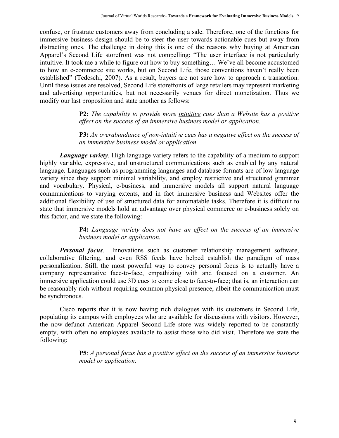confuse, or frustrate customers away from concluding a sale. Therefore, one of the functions for immersive business design should be to steer the user towards actionable cues but away from distracting ones. The challenge in doing this is one of the reasons why buying at American Apparel's Second Life storefront was not compelling: "The user interface is not particularly intuitive. It took me a while to figure out how to buy something… We've all become accustomed to how an e-commerce site works, but on Second Life, those conventions haven't really been established" (Tedeschi, 2007). As a result, buyers are not sure how to approach a transaction. Until these issues are resolved, Second Life storefronts of large retailers may represent marketing and advertising opportunities, but not necessarily venues for direct monetization. Thus we modify our last proposition and state another as follows:

> **P2:** *The capability to provide more intuitive cues than a Website has a positive effect on the success of an immersive business model or application.*

> **P3:** *An overabundance of non-intuitive cues has a negative effect on the success of an immersive business model or application.*

*Language variety*. High language variety refers to the capability of a medium to support highly variable, expressive, and unstructured communications such as enabled by any natural language. Languages such as programming languages and database formats are of low language variety since they support minimal variability, and employ restrictive and structured grammar and vocabulary. Physical, e-business, and immersive models all support natural language communications to varying extents, and in fact immersive business and Websites offer the additional flexibility of use of structured data for automatable tasks. Therefore it is difficult to state that immersive models hold an advantage over physical commerce or e-business solely on this factor, and we state the following:

> **P4:** *Language variety does not have an effect on the success of an immersive business model or application.*

*Personal focus*. Innovations such as customer relationship management software, collaborative filtering, and even RSS feeds have helped establish the paradigm of mass personalization. Still, the most powerful way to convey personal focus is to actually have a company representative face-to-face, empathizing with and focused on a customer. An immersive application could use 3D cues to come close to face-to-face; that is, an interaction can be reasonably rich without requiring common physical presence, albeit the communication must be synchronous.

Cisco reports that it is now having rich dialogues with its customers in Second Life, populating its campus with employees who are available for discussions with visitors. However, the now-defunct American Apparel Second Life store was widely reported to be constantly empty, with often no employees available to assist those who did visit. Therefore we state the following:

> **P5**: *A personal focus has a positive effect on the success of an immersive business model or application.*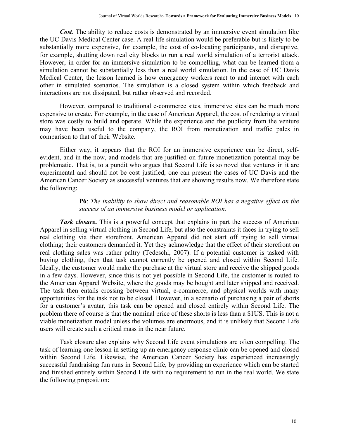*Cost*. The ability to reduce costs is demonstrated by an immersive event simulation like the UC Davis Medical Center case. A real life simulation would be preferable but is likely to be substantially more expensive, for example, the cost of co-locating participants, and disruptive, for example, shutting down real city blocks to run a real world simulation of a terrorist attack. However, in order for an immersive simulation to be compelling, what can be learned from a simulation cannot be substantially less than a real world simulation. In the case of UC Davis Medical Center, the lesson learned is how emergency workers react to and interact with each other in simulated scenarios. The simulation is a closed system within which feedback and interactions are not dissipated, but rather observed and recorded.

However, compared to traditional e-commerce sites, immersive sites can be much more expensive to create. For example, in the case of American Apparel, the cost of rendering a virtual store was costly to build and operate. While the experience and the publicity from the venture may have been useful to the company, the ROI from monetization and traffic pales in comparison to that of their Website.

Either way, it appears that the ROI for an immersive experience can be direct, selfevident, and in-the-now, and models that are justified on future monetization potential may be problematic. That is, to a pundit who argues that Second Life is so novel that ventures in it are experimental and should not be cost justified, one can present the cases of UC Davis and the American Cancer Society as successful ventures that are showing results now. We therefore state the following:

### **P6**: *The inability to show direct and reasonable ROI has a negative effect on the success of an immersive business model or application.*

**Task closure.** This is a powerful concept that explains in part the success of American Apparel in selling virtual clothing in Second Life, but also the constraints it faces in trying to sell real clothing via their storefront. American Apparel did not start off trying to sell virtual clothing; their customers demanded it. Yet they acknowledge that the effect of their storefront on real clothing sales was rather paltry (Tedeschi, 2007). If a potential customer is tasked with buying clothing, then that task cannot currently be opened and closed within Second Life. Ideally, the customer would make the purchase at the virtual store and receive the shipped goods in a few days. However, since this is not yet possible in Second Life, the customer is routed to the American Apparel Website, where the goods may be bought and later shipped and received. The task then entails crossing between virtual, e-commerce, and physical worlds with many opportunities for the task not to be closed. However, in a scenario of purchasing a pair of shorts for a customer's avatar, this task can be opened and closed entirely within Second Life. The problem there of course is that the nominal price of these shorts is less than a \$1US. This is not a viable monetization model unless the volumes are enormous, and it is unlikely that Second Life users will create such a critical mass in the near future.

Task closure also explains why Second Life event simulations are often compelling. The task of learning one lesson in setting up an emergency response clinic can be opened and closed within Second Life. Likewise, the American Cancer Society has experienced increasingly successful fundraising fun runs in Second Life, by providing an experience which can be started and finished entirely within Second Life with no requirement to run in the real world. We state the following proposition: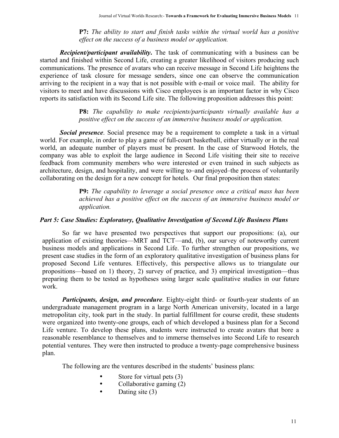**P7:** *The ability to start and finish tasks within the virtual world has a positive effect on the success of a business model or application.*

*Recipient/participant availability***.** The task of communicating with a business can be started and finished within Second Life, creating a greater likelihood of visitors producing such communications. The presence of avatars who can receive message in Second Life heightens the experience of task closure for message senders, since one can observe the communication arriving to the recipient in a way that is not possible with e-mail or voice mail. The ability for visitors to meet and have discussions with Cisco employees is an important factor in why Cisco reports its satisfaction with its Second Life site. The following proposition addresses this point:

## **P8:** *The capability to make recipients/participants virtually available has a positive effect on the success of an immersive business model or application.*

*Social presence*. Social presence may be a requirement to complete a task in a virtual world. For example, in order to play a game of full-court basketball, either virtually or in the real world, an adequate number of players must be present. In the case of Starwood Hotels, the company was able to exploit the large audience in Second Life visiting their site to receive feedback from community members who were interested or even trained in such subjects as architecture, design, and hospitality, and were willing to–and enjoyed–the process of voluntarily collaborating on the design for a new concept for hotels. Our final proposition then states:

> **P9:** *The capability to leverage a social presence once a critical mass has been achieved has a positive effect on the success of an immersive business model or application.*

### *Part 5: Case Studies: Exploratory, Qualitative Investigation of Second Life Business Plans*

So far we have presented two perspectives that support our propositions: (a), our application of existing theories—MRT and TCT—and, (b), our survey of noteworthy current business models and applications in Second Life. To further strengthen our propositions, we present case studies in the form of an exploratory qualitative investigation of business plans for proposed Second Life ventures. Effectively, this perspective allows us to triangulate our propositions—based on 1) theory, 2) survey of practice, and 3) empirical investigation—thus preparing them to be tested as hypotheses using larger scale qualitative studies in our future work.

*Participants, design, and procedure.* Eighty-eight third- or fourth-year students of an undergraduate management program in a large North American university, located in a large metropolitan city, took part in the study. In partial fulfillment for course credit, these students were organized into twenty-one groups, each of which developed a business plan for a Second Life venture. To develop these plans, students were instructed to create avatars that bore a reasonable resemblance to themselves and to immerse themselves into Second Life to research potential ventures. They were then instructed to produce a twenty-page comprehensive business plan.

The following are the ventures described in the students' business plans:

- Store for virtual pets (3)
- Collaborative gaming (2)
- Dating site (3)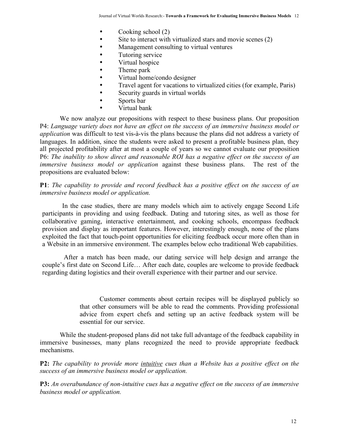- Cooking school (2)
- Site to interact with virtualized stars and movie scenes (2)
- Management consulting to virtual ventures
- Tutoring service
- Virtual hospice
- Theme park
- Virtual home/condo designer
- Travel agent for vacations to virtualized cities (for example, Paris)
- Security guards in virtual worlds
- Sports bar
- Virtual bank

We now analyze our propositions with respect to these business plans. Our proposition P4: *Language variety does not have an effect on the success of an immersive business model or application* was difficult to test vis-à-vis the plans because the plans did not address a variety of languages. In addition, since the students were asked to present a profitable business plan, they all projected profitability after at most a couple of years so we cannot evaluate our proposition P6: *The inability to show direct and reasonable ROI has a negative effect on the success of an immersive business model or application* against these business plans. The rest of the propositions are evaluated below:

**P1**: *The capability to provide and record feedback has a positive effect on the success of an immersive business model or application.*

In the case studies, there are many models which aim to actively engage Second Life participants in providing and using feedback. Dating and tutoring sites, as well as those for collaborative gaming, interactive entertainment, and cooking schools, encompass feedback provision and display as important features. However, interestingly enough, none of the plans exploited the fact that touch-point opportunities for eliciting feedback occur more often than in a Website in an immersive environment. The examples below echo traditional Web capabilities.

 After a match has been made, our dating service will help design and arrange the couple's first date on Second Life… After each date, couples are welcome to provide feedback regarding dating logistics and their overall experience with their partner and our service.

> Customer comments about certain recipes will be displayed publicly so that other consumers will be able to read the comments. Providing professional advice from expert chefs and setting up an active feedback system will be essential for our service.

While the student-proposed plans did not take full advantage of the feedback capability in immersive businesses, many plans recognized the need to provide appropriate feedback mechanisms.

**P2:** *The capability to provide more intuitive cues than a Website has a positive effect on the success of an immersive business model or application.*

**P3:** *An overabundance of non-intuitive cues has a negative effect on the success of an immersive business model or application.*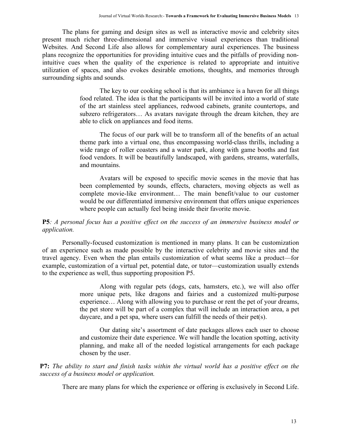The plans for gaming and design sites as well as interactive movie and celebrity sites present much richer three-dimensional and immersive visual experiences than traditional Websites. And Second Life also allows for complementary aural experiences. The business plans recognize the opportunities for providing intuitive cues and the pitfalls of providing nonintuitive cues when the quality of the experience is related to appropriate and intuitive utilization of spaces, and also evokes desirable emotions, thoughts, and memories through surrounding sights and sounds.

> The key to our cooking school is that its ambiance is a haven for all things food related. The idea is that the participants will be invited into a world of state of the art stainless steel appliances, redwood cabinets, granite countertops, and subzero refrigerators… As avatars navigate through the dream kitchen, they are able to click on appliances and food items.

> The focus of our park will be to transform all of the benefits of an actual theme park into a virtual one, thus encompassing world-class thrills, including a wide range of roller coasters and a water park, along with game booths and fast food vendors. It will be beautifully landscaped, with gardens, streams, waterfalls, and mountains.

> Avatars will be exposed to specific movie scenes in the movie that has been complemented by sounds, effects, characters, moving objects as well as complete movie-like environment… The main benefit/value to our customer would be our differentiated immersive environment that offers unique experiences where people can actually feel being inside their favorite movie.

## **P5***: A personal focus has a positive effect on the success of an immersive business model or application.*

Personally-focused customization is mentioned in many plans. It can be customization of an experience such as made possible by the interactive celebrity and movie sites and the travel agency. Even when the plan entails customization of what seems like a product—for example, customization of a virtual pet, potential date, or tutor—customization usually extends to the experience as well, thus supporting proposition P5.

> Along with regular pets (dogs, cats, hamsters, etc.), we will also offer more unique pets, like dragons and fairies and a customized multi-purpose experience… Along with allowing you to purchase or rent the pet of your dreams, the pet store will be part of a complex that will include an interaction area, a pet daycare, and a pet spa, where users can fulfill the needs of their pet(s).

> Our dating site's assortment of date packages allows each user to choose and customize their date experience. We will handle the location spotting, activity planning, and make all of the needed logistical arrangements for each package chosen by the user.

**P7:** *The ability to start and finish tasks within the virtual world has a positive effect on the success of a business model or application.*

There are many plans for which the experience or offering is exclusively in Second Life.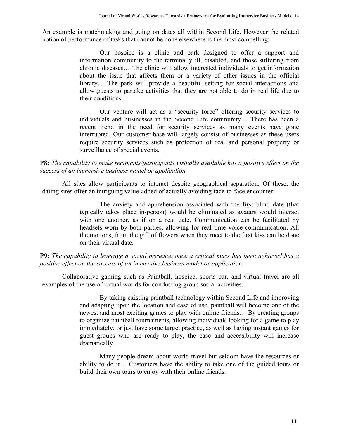An example is matchmaking and going on dates all within Second Life. However the related notion of performance of tasks that cannot be done elsewhere is the most compelling:

> Our hospice is a clinic and park designed to offer a support and information community to the terminally ill, disabled, and those suffering from chronic diseases… The clinic will allow interested individuals to get information about the issue that affects them or a variety of other issues in the official library… The park will provide a beautiful setting for social interactions and allow guests to partake activities that they are not able to do in real life due to their conditions.

> Our venture will act as a "security force" offering security services to individuals and businesses in the Second Life community… There has been a recent trend in the need for security services as many events have gone interrupted. Our customer base will largely consist of businesses as these users require security services such as protection of real and personal property or surveillance of special events.

#### **P8:** *The capability to make recipients/participants virtually available has a positive effect on the success of an immersive business model or application.*

All sites allow participants to interact despite geographical separation. Of these, the dating sites offer an intriguing value-added of actually avoiding face-to-face encounter:

> The anxiety and apprehension associated with the first blind date (that typically takes place in-person) would be eliminated as avatars would interact with one another, as if on a real date. Communication can be facilitated by headsets worn by both parties, allowing for real time voice communication. All the motions, from the gift of flowers when they meet to the first kiss can be done on their virtual date.

**P9:** *The capability to leverage a social presence once a critical mass has been achieved has a positive effect on the success of an immersive business model or application.*

Collaborative gaming such as Paintball, hospice, sports bar, and virtual travel are all examples of the use of virtual worlds for conducting group social activities.

> By taking existing paintball technology within Second Life and improving and adapting upon the location and ease of use, paintball will become one of the newest and most exciting games to play with online friends… By creating groups to organize paintball tournaments, allowing individuals looking for a game to play immediately, or just have some target practice, as well as having instant games for guest groups who are ready to play, the ease and accessibility will increase dramatically.

> Many people dream about world travel but seldom have the resources or ability to do it… Customers have the ability to take one of the guided tours or build their own tours to enjoy with their online friends.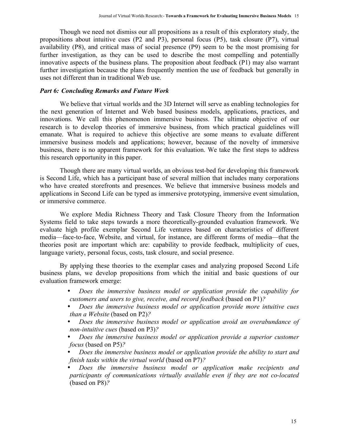Though we need not dismiss our all propositions as a result of this exploratory study, the propositions about intuitive cues (P2 and P3), personal focus (P5), task closure (P7), virtual availability (P8), and critical mass of social presence (P9) seem to be the most promising for further investigation, as they can be used to describe the most compelling and potentially innovative aspects of the business plans. The proposition about feedback (P1) may also warrant further investigation because the plans frequently mention the use of feedback but generally in uses not different than in traditional Web use.

#### *Part 6: Concluding Remarks and Future Work*

We believe that virtual worlds and the 3D Internet will serve as enabling technologies for the next generation of Internet and Web based business models, applications, practices, and innovations. We call this phenomenon immersive business. The ultimate objective of our research is to develop theories of immersive business, from which practical guidelines will emanate. What is required to achieve this objective are some means to evaluate different immersive business models and applications; however, because of the novelty of immersive business, there is no apparent framework for this evaluation. We take the first steps to address this research opportunity in this paper.

Though there are many virtual worlds, an obvious test-bed for developing this framework is Second Life, which has a participant base of several million that includes many corporations who have created storefronts and presences. We believe that immersive business models and applications in Second Life can be typed as immersive prototyping, immersive event simulation, or immersive commerce.

We explore Media Richness Theory and Task Closure Theory from the Information Systems field to take steps towards a more theoretically-grounded evaluation framework. We evaluate high profile exemplar Second Life ventures based on characteristics of different media—face-to-face, Website, and virtual, for instance, are different forms of media—that the theories posit are important which are: capability to provide feedback, multiplicity of cues, language variety, personal focus, costs, task closure, and social presence.

By applying these theories to the exemplar cases and analyzing proposed Second Life business plans, we develop propositions from which the initial and basic questions of our evaluation framework emerge:

- *Does the immersive business model or application provide the capability for customers and users to give, receive, and record feedback* (based on P1)*?*
- *Does the immersive business model or application provide more intuitive cues than a Website* (based on P2)*?*
- *Does the immersive business model or application avoid an overabundance of non-intuitive cues* (based on P3)*?*
- *Does the immersive business model or application provide a superior customer focus* (based on P5)*?*
- *Does the immersive business model or application provide the ability to start and finish tasks within the virtual world* (based on P7)*?*
- *Does the immersive business model or application make recipients and participants of communications virtually available even if they are not co-located*  (based on P8)*?*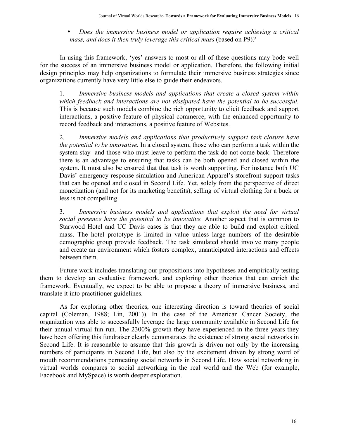• *Does the immersive business model or application require achieving a critical mass, and does it then truly leverage this critical mass* (based on P9)*?*

In using this framework, 'yes' answers to most or all of these questions may bode well for the success of an immersive business model or application. Therefore, the following initial design principles may help organizations to formulate their immersive business strategies since organizations currently have very little else to guide their endeavors.

1. *Immersive business models and applications that create a closed system within which feedback and interactions are not dissipated have the potential to be successful*. This is because such models combine the rich opportunity to elicit feedback and support interactions, a positive feature of physical commerce, with the enhanced opportunity to record feedback and interactions, a positive feature of Websites.

2. *Immersive models and applications that productively support task closure have the potential to be innovative.* In a closed system, those who can perform a task within the system stay and those who must leave to perform the task do not come back. Therefore there is an advantage to ensuring that tasks can be both opened and closed within the system. It must also be ensured that that task is worth supporting. For instance both UC Davis' emergency response simulation and American Apparel's storefront support tasks that can be opened and closed in Second Life. Yet, solely from the perspective of direct monetization (and not for its marketing benefits), selling of virtual clothing for a buck or less is not compelling.

3. *Immersive business models and applications that exploit the need for virtual social presence have the potential to be innovative.* Another aspect that is common to Starwood Hotel and UC Davis cases is that they are able to build and exploit critical mass. The hotel prototype is limited in value unless large numbers of the desirable demographic group provide feedback. The task simulated should involve many people and create an environment which fosters complex, unanticipated interactions and effects between them.

Future work includes translating our propositions into hypotheses and empirically testing them to develop an evaluative framework, and exploring other theories that can enrich the framework. Eventually, we expect to be able to propose a theory of immersive business, and translate it into practitioner guidelines.

As for exploring other theories, one interesting direction is toward theories of social capital (Coleman, 1988; Lin, 2001)). In the case of the American Cancer Society, the organization was able to successfully leverage the large community available in Second Life for their annual virtual fun run. The 2300% growth they have experienced in the three years they have been offering this fundraiser clearly demonstrates the existence of strong social networks in Second Life. It is reasonable to assume that this growth is driven not only by the increasing numbers of participants in Second Life, but also by the excitement driven by strong word of mouth recommendations permeating social networks in Second Life. How social networking in virtual worlds compares to social networking in the real world and the Web (for example, Facebook and MySpace) is worth deeper exploration.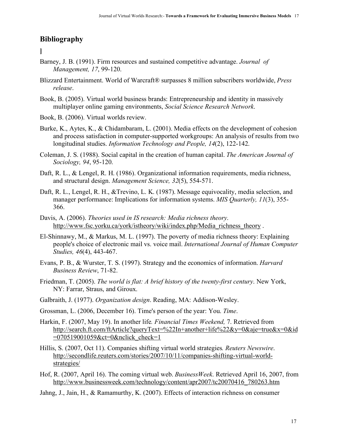# **Bibliography**

**]**

- Barney, J. B. (1991). Firm resources and sustained competitive advantage. *Journal of Management, 17*, 99-120.
- Blizzard Entertainment. World of Warcraft® surpasses 8 million subscribers worldwide, *Press release*.
- Book, B. (2005). Virtual world business brands: Entrepreneurship and identity in massively multiplayer online gaming environments, *Social Science Research Network*.
- Book, B. (2006). Virtual worlds review.
- Burke, K., Aytes, K., & Chidambaram, L. (2001). Media effects on the development of cohesion and process satisfaction in computer-supported workgroups: An analysis of results from two longitudinal studies. *Information Technology and People, 14*(2), 122-142.
- Coleman, J. S. (1988). Social capital in the creation of human capital. *The American Journal of Sociology, 94*, 95-120.
- Daft, R. L., & Lengel, R. H. (1986). Organizational information requirements, media richness, and structural design. *Management Science, 32*(5), 554-571.
- Daft, R. L., Lengel, R. H., &Trevino, L. K. (1987). Message equivocality, media selection, and manager performance: Implications for information systems. *MIS Quarterly, 11*(3), 355- 366.
- Davis, A. (2006). *Theories used in IS research: Media richness theory*. http://www.fsc.yorku.ca/york/istheory/wiki/index.php/Media\_richness\_theory .
- El-Shinnawy, M., & Markus, M. L. (1997). The poverty of media richness theory: Explaining people's choice of electronic mail vs. voice mail. *International Journal of Human Computer Studies, 46*(4), 443-467.
- Evans, P. B., & Wurster, T. S. (1997). Strategy and the economics of information. *Harvard Business Review*, 71-82.
- Friedman, T. (2005). *The world is flat: A brief history of the twenty-first century*. New York, NY: Farrar, Straus, and Giroux.
- Galbraith, J. (1977). *Organization design*. Reading, MA: Addison-Wesley.
- Grossman, L. (2006, December 16). Time's person of the year: You. *Time*.
- Harkin, F. (2007, May 19). In another life*. Financial Times Weekend,* 7. Retrieved from http://search.ft.com/ftArticle?queryText=%22In+another+life%22&y=0&aje=true&x=0&id  $=070519001059$ &ct=0&nclick check=1
- Hillis, S. (2007, Oct 11). Companies shifting virtual world strategies*. Reuters Newswire*. http://secondlife.reuters.com/stories/2007/10/11/companies-shifting-virtual-worldstrategies/
- Hof, R. (2007, April 16). The coming virtual web. *BusinessWeek*. Retrieved April 16, 2007, from http://www.businessweek.com/technology/content/apr2007/tc20070416\_780263.htm
- Jahng, J., Jain, H., & Ramamurthy, K. (2007). Effects of interaction richness on consumer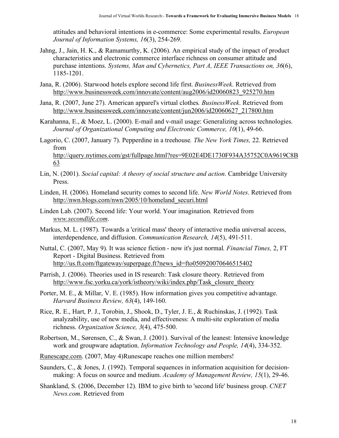attitudes and behavioral intentions in e-commerce: Some experimental results. *European Journal of Information Systems, 16*(3), 254-269.

- Jahng, J., Jain, H. K., & Ramamurthy, K. (2006). An empirical study of the impact of product characteristics and electronic commerce interface richness on consumer attitude and purchase intentions. *Systems, Man and Cybernetics, Part A, IEEE Transactions on, 36*(6), 1185-1201.
- Jana, R. (2006). Starwood hotels explore second life first. *BusinessWeek*. Retrieved from http://www.businessweek.com/innovate/content/aug2006/id20060823\_925270.htm
- Jana, R. (2007, June 27). American apparel's virtual clothes*. BusinessWeek*. Retrieved from http://www.businessweek.com/innovate/content/jun2006/id20060627\_217800.htm
- Karahanna, E., & Moez, L. (2000). E-mail and v-mail usage: Generalizing across technologies. *Journal of Organizational Computing and Electronic Commerce, 10*(1), 49-66.
- Lagorio, C. (2007, January 7). Pepperdine in a treehouse*. The New York Times,* 22. Retrieved from

http://query.nytimes.com/gst/fullpage.html?res=9E02E4DE1730F934A35752C0A9619C8B 63

- Lin, N. (2001). *Social capital: A theory of social structure and action*. Cambridge University Press.
- Linden, H. (2006). Homeland security comes to second life. *New World Notes*. Retrieved from http://nwn.blogs.com/nwn/2005/10/homeland\_securi.html
- Linden Lab. (2007). Second life: Your world. Your imagination. Retrieved from *www.secondlife.com*.
- Markus, M. L. (1987). Towards a 'critical mass' theory of interactive media universal access, interdependence, and diffusion. *Communication Research, 14*(5), 491-511.
- Nuttal, C. (2007, May 9). It was science fiction now it's just normal*. Financial Times,* 2, FT Report - Digital Business. Retrieved from http://us.ft.com/ftgateway/superpage.ft?news\_id=fto050920070646515402
- Parrish, J. (2006). Theories used in IS research: Task closure theory. Retrieved from http://www.fsc.yorku.ca/york/istheory/wiki/index.php/Task\_closure\_theory
- Porter, M. E., & Millar, V. E. (1985). How information gives you competitive advantage. *Harvard Business Review, 63*(4), 149-160.
- Rice, R. E., Hart, P. J., Torobin, J., Shook, D., Tyler, J. E., & Ruchinskas, J. (1992). Task analyzability, use of new media, and effectiveness: A multi-site exploration of media richness. *Organization Science, 3*(4), 475-500.
- Robertson, M., Sørensen, C., & Swan, J. (2001). Survival of the leanest: Intensive knowledge work and groupware adaptation. *Information Technology and People, 14*(4), 334-352.
- Runescape.com. (2007, May 4)Runescape reaches one million members!
- Saunders, C., & Jones, J. (1992). Temporal sequences in information acquisition for decisionmaking: A focus on source and medium. *Academy of Management Review, 15*(1), 29-46.
- Shankland, S. (2006, December 12). IBM to give birth to 'second life' business group. *CNET News.com*. Retrieved from